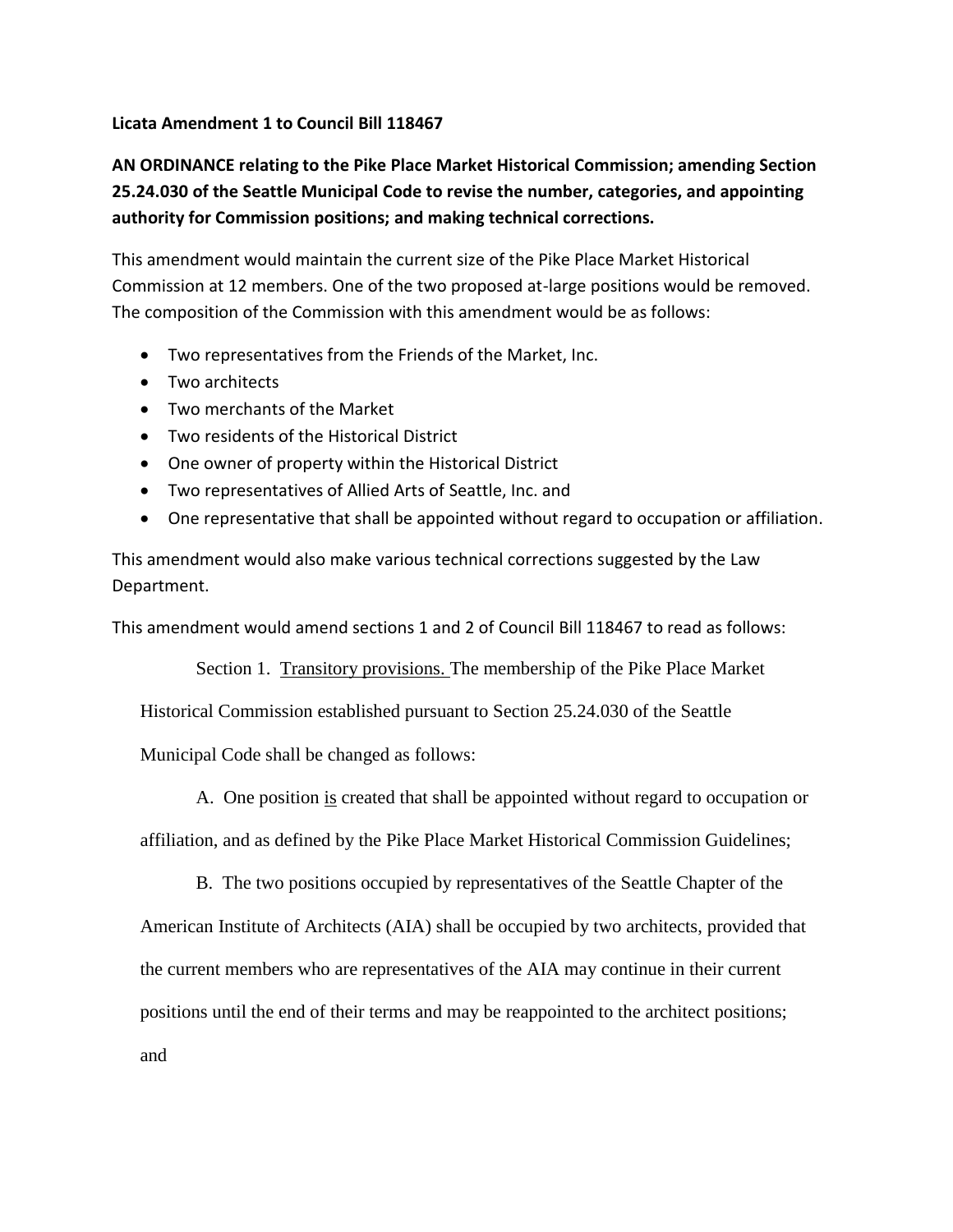## **Licata Amendment 1 to Council Bill 118467**

## **AN ORDINANCE relating to the Pike Place Market Historical Commission; amending Section 25.24.030 of the Seattle Municipal Code to revise the number, categories, and appointing authority for Commission positions; and making technical corrections.**

This amendment would maintain the current size of the Pike Place Market Historical Commission at 12 members. One of the two proposed at-large positions would be removed. The composition of the Commission with this amendment would be as follows:

- Two representatives from the Friends of the Market, Inc.
- Two architects
- Two merchants of the Market
- Two residents of the Historical District
- One owner of property within the Historical District
- Two representatives of Allied Arts of Seattle, Inc. and
- One representative that shall be appointed without regard to occupation or affiliation.

This amendment would also make various technical corrections suggested by the Law Department.

This amendment would amend sections 1 and 2 of Council Bill 118467 to read as follows:

Section 1. Transitory provisions. The membership of the Pike Place Market

Historical Commission established pursuant to Section 25.24.030 of the Seattle

Municipal Code shall be changed as follows:

A. One position is created that shall be appointed without regard to occupation or

affiliation, and as defined by the Pike Place Market Historical Commission Guidelines;

B. The two positions occupied by representatives of the Seattle Chapter of the

American Institute of Architects (AIA) shall be occupied by two architects, provided that the current members who are representatives of the AIA may continue in their current positions until the end of their terms and may be reappointed to the architect positions;

and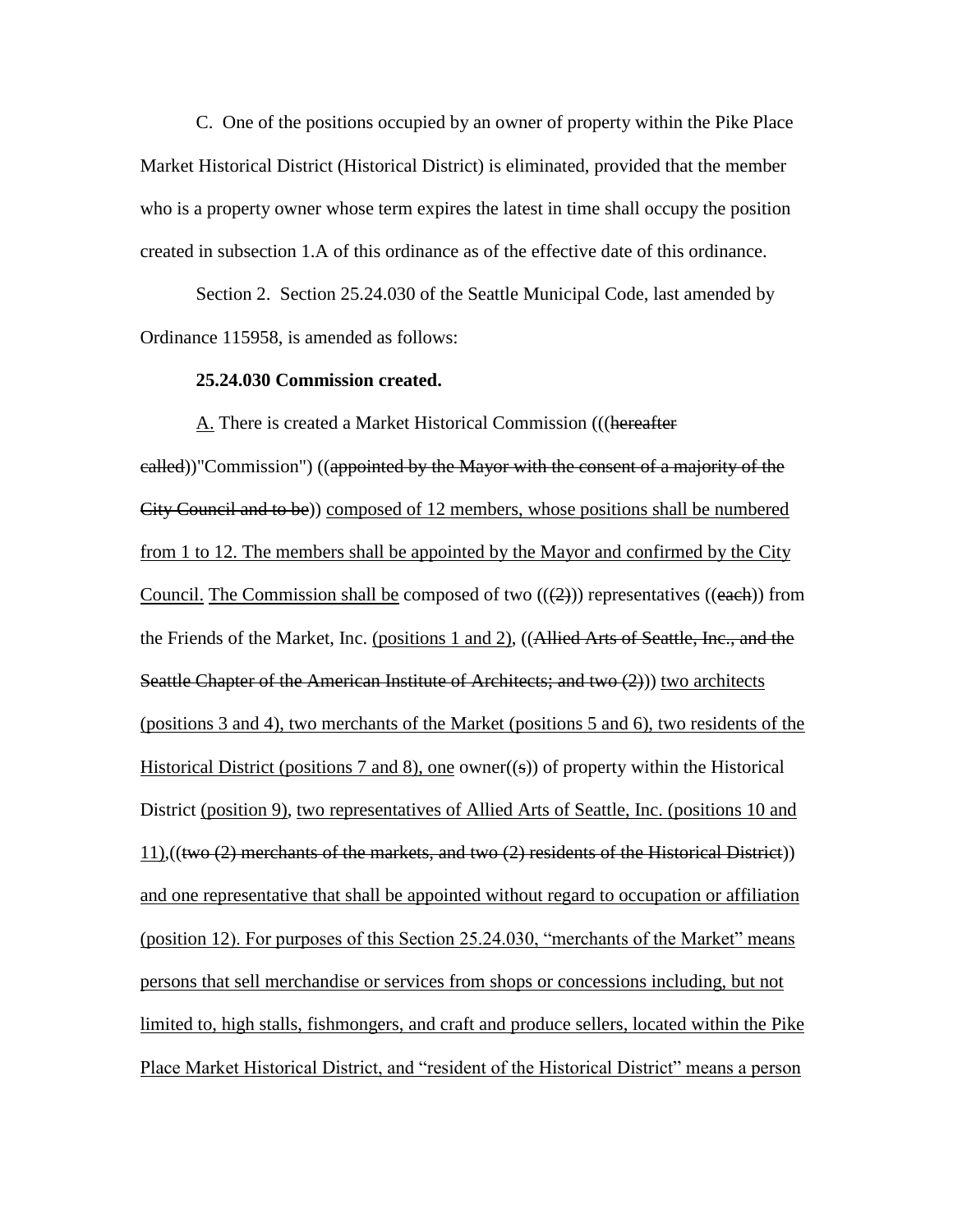C. One of the positions occupied by an owner of property within the Pike Place Market Historical District (Historical District) is eliminated, provided that the member who is a property owner whose term expires the latest in time shall occupy the position created in subsection 1.A of this ordinance as of the effective date of this ordinance.

Section 2. Section 25.24.030 of the Seattle Municipal Code, last amended by Ordinance 115958, is amended as follows:

## **25.24.030 Commission created.**

A. There is created a Market Historical Commission (((hereafter ealled))"Commission") ((appointed by the Mayor with the consent of a majority of the City Council and to be)) composed of 12 members, whose positions shall be numbered from 1 to 12. The members shall be appointed by the Mayor and confirmed by the City Council. The Commission shall be composed of two  $((2))$  representatives  $((each))$  from the Friends of the Market, Inc. (positions 1 and 2), ((Allied Arts of Seattle, Inc., and the Seattle Chapter of the American Institute of Architects; and two (2)) two architects (positions 3 and 4), two merchants of the Market (positions 5 and 6), two residents of the Historical District (positions 7 and 8), one owner( $(\epsilon)$ ) of property within the Historical District (position 9), two representatives of Allied Arts of Seattle, Inc. (positions 10 and 11),((two (2) merchants of the markets, and two (2) residents of the Historical District)) and one representative that shall be appointed without regard to occupation or affiliation (position 12). For purposes of this Section 25.24.030, "merchants of the Market" means persons that sell merchandise or services from shops or concessions including, but not limited to, high stalls, fishmongers, and craft and produce sellers, located within the Pike Place Market Historical District, and "resident of the Historical District" means a person